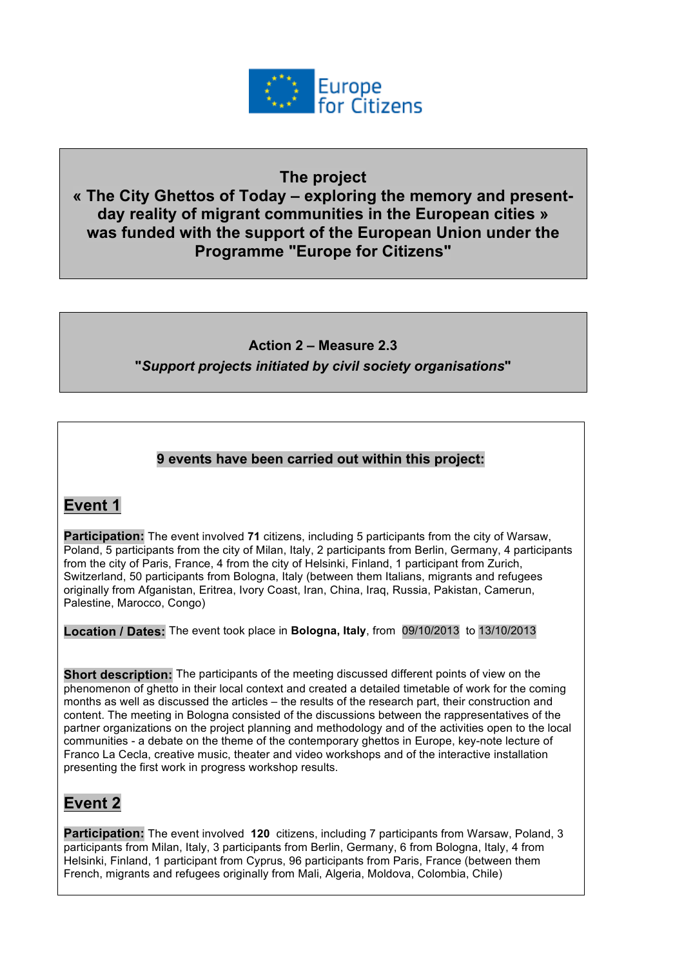

#### **The project**

**« The City Ghettos of Today – exploring the memory and presentday reality of migrant communities in the European cities » was funded with the support of the European Union under the Programme "Europe for Citizens"**

#### **Action 2 – Measure 2.3**

**"***Support projects initiated by civil society organisations***"**

#### **9 events have been carried out within this project:**

## **Event 1**

**Participation:** The event involved **71** citizens, including 5 participants from the city of Warsaw, Poland, 5 participants from the city of Milan, Italy, 2 participants from Berlin, Germany, 4 participants from the city of Paris, France, 4 from the city of Helsinki, Finland, 1 participant from Zurich, Switzerland, 50 participants from Bologna, Italy (between them Italians, migrants and refugees originally from Afganistan, Eritrea, Ivory Coast, Iran, China, Iraq, Russia, Pakistan, Camerun, Palestine, Marocco, Congo)

**Location / Dates:** The event took place in **Bologna, Italy**, from 09/10/2013 to 13/10/2013

**Short description:** The participants of the meeting discussed different points of view on the phenomenon of ghetto in their local context and created a detailed timetable of work for the coming months as well as discussed the articles – the results of the research part, their construction and content. The meeting in Bologna consisted of the discussions between the rappresentatives of the partner organizations on the project planning and methodology and of the activities open to the local communities - a debate on the theme of the contemporary ghettos in Europe, key-note lecture of Franco La Cecla, creative music, theater and video workshops and of the interactive installation presenting the first work in progress workshop results.

## **Event 2**

**Participation:** The event involved **120** citizens, including 7 participants from Warsaw, Poland, 3 participants from Milan, Italy, 3 participants from Berlin, Germany, 6 from Bologna, Italy, 4 from Helsinki, Finland, 1 participant from Cyprus, 96 participants from Paris, France (between them French, migrants and refugees originally from Mali, Algeria, Moldova, Colombia, Chile)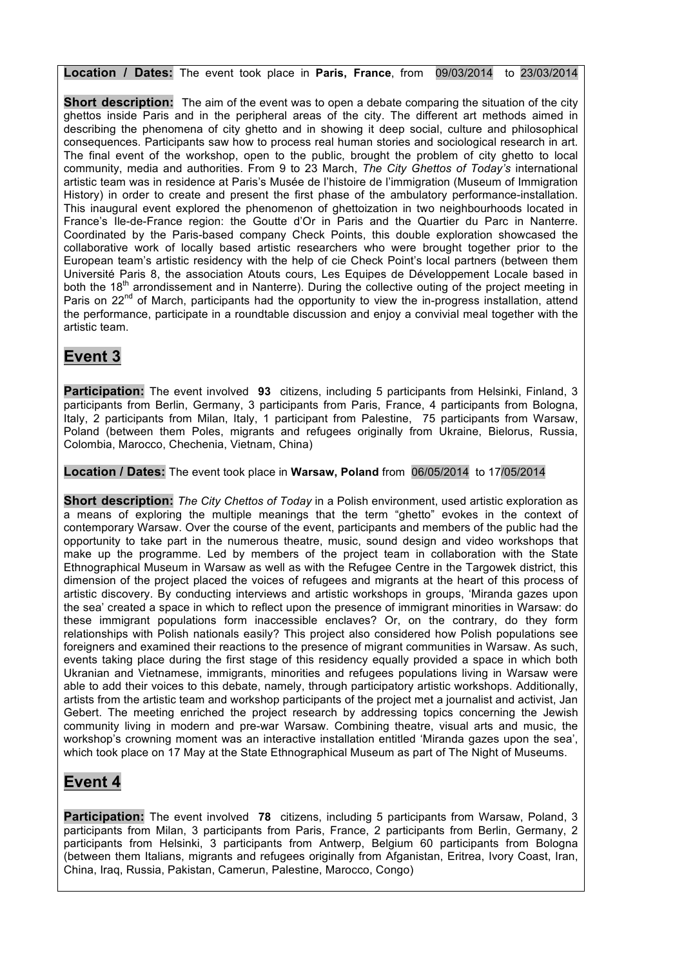**Location / Dates:** The event took place in **Paris, France**, from 09/03/2014 to 23/03/2014

**Short description:** The aim of the event was to open a debate comparing the situation of the city ghettos inside Paris and in the peripheral areas of the city. The different art methods aimed in describing the phenomena of city ghetto and in showing it deep social, culture and philosophical consequences. Participants saw how to process real human stories and sociological research in art. The final event of the workshop, open to the public, brought the problem of city ghetto to local community, media and authorities. From 9 to 23 March, *The City Ghettos of Today's* international artistic team was in residence at Paris's Musée de l'histoire de l'immigration (Museum of Immigration History) in order to create and present the first phase of the ambulatory performance-installation. This inaugural event explored the phenomenon of ghettoization in two neighbourhoods located in France's Ile-de-France region: the Goutte d'Or in Paris and the Quartier du Parc in Nanterre. Coordinated by the Paris-based company Check Points, this double exploration showcased the collaborative work of locally based artistic researchers who were brought together prior to the European team's artistic residency with the help of cie Check Point's local partners (between them Université Paris 8, the association Atouts cours, Les Equipes de Développement Locale based in both the 18<sup>th</sup> arrondissement and in Nanterre). During the collective outing of the project meeting in Paris on 22<sup>nd</sup> of March, participants had the opportunity to view the in-progress installation, attend the performance, participate in a roundtable discussion and enjoy a convivial meal together with the artistic team.

# **Event 3**

**Participation:** The event involved **93** citizens, including 5 participants from Helsinki, Finland, 3 participants from Berlin, Germany, 3 participants from Paris, France, 4 participants from Bologna, Italy, 2 participants from Milan, Italy, 1 participant from Palestine, 75 participants from Warsaw, Poland (between them Poles, migrants and refugees originally from Ukraine, Bielorus, Russia, Colombia, Marocco, Chechenia, Vietnam, China)

**Location / Dates:** The event took place in **Warsaw, Poland** from 06/05/2014 to 17/05/2014

**Short description:** *The City Chettos of Today* in a Polish environment, used artistic exploration as a means of exploring the multiple meanings that the term "ghetto" evokes in the context of contemporary Warsaw. Over the course of the event, participants and members of the public had the opportunity to take part in the numerous theatre, music, sound design and video workshops that make up the programme. Led by members of the project team in collaboration with the State Ethnographical Museum in Warsaw as well as with the Refugee Centre in the Targowek district, this dimension of the project placed the voices of refugees and migrants at the heart of this process of artistic discovery. By conducting interviews and artistic workshops in groups, 'Miranda gazes upon the sea' created a space in which to reflect upon the presence of immigrant minorities in Warsaw: do these immigrant populations form inaccessible enclaves? Or, on the contrary, do they form relationships with Polish nationals easily? This project also considered how Polish populations see foreigners and examined their reactions to the presence of migrant communities in Warsaw. As such, events taking place during the first stage of this residency equally provided a space in which both Ukranian and Vietnamese, immigrants, minorities and refugees populations living in Warsaw were able to add their voices to this debate, namely, through participatory artistic workshops. Additionally, artists from the artistic team and workshop participants of the project met a journalist and activist, Jan Gebert. The meeting enriched the project research by addressing topics concerning the Jewish community living in modern and pre-war Warsaw. Combining theatre, visual arts and music, the workshop's crowning moment was an interactive installation entitled 'Miranda gazes upon the sea', which took place on 17 May at the State Ethnographical Museum as part of The Night of Museums.

## **Event 4**

**Participation:** The event involved **78** citizens, including 5 participants from Warsaw, Poland, 3 participants from Milan, 3 participants from Paris, France, 2 participants from Berlin, Germany, 2 participants from Helsinki, 3 participants from Antwerp, Belgium 60 participants from Bologna (between them Italians, migrants and refugees originally from Afganistan, Eritrea, Ivory Coast, Iran, China, Iraq, Russia, Pakistan, Camerun, Palestine, Marocco, Congo)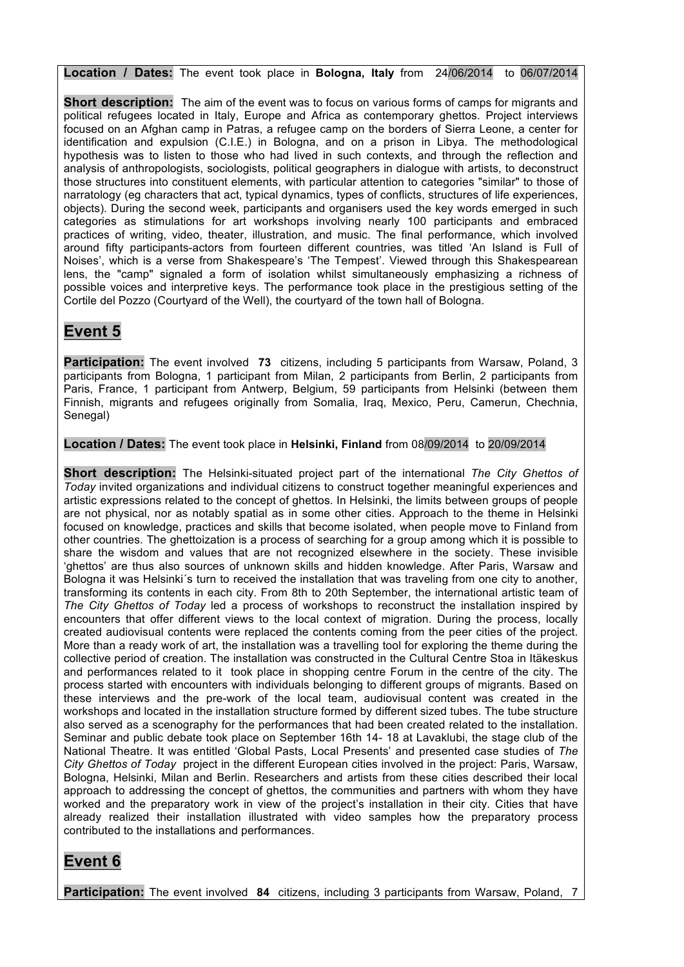**Location / Dates:** The event took place in **Bologna, Italy** from 24/06/2014 to 06/07/2014

**Short description:** The aim of the event was to focus on various forms of camps for migrants and political refugees located in Italy, Europe and Africa as contemporary ghettos. Project interviews focused on an Afghan camp in Patras, a refugee camp on the borders of Sierra Leone, a center for identification and expulsion (C.I.E.) in Bologna, and on a prison in Libya. The methodological hypothesis was to listen to those who had lived in such contexts, and through the reflection and analysis of anthropologists, sociologists, political geographers in dialogue with artists, to deconstruct those structures into constituent elements, with particular attention to categories "similar" to those of narratology (eg characters that act, typical dynamics, types of conflicts, structures of life experiences, objects). During the second week, participants and organisers used the key words emerged in such categories as stimulations for art workshops involving nearly 100 participants and embraced practices of writing, video, theater, illustration, and music. The final performance, which involved around fifty participants-actors from fourteen different countries, was titled 'An Island is Full of Noises', which is a verse from Shakespeare's 'The Tempest'. Viewed through this Shakespearean lens, the "camp" signaled a form of isolation whilst simultaneously emphasizing a richness of possible voices and interpretive keys. The performance took place in the prestigious setting of the Cortile del Pozzo (Courtyard of the Well), the courtyard of the town hall of Bologna.

# **Event 5**

**Participation:** The event involved **73** citizens, including 5 participants from Warsaw, Poland, 3 participants from Bologna, 1 participant from Milan, 2 participants from Berlin, 2 participants from Paris, France, 1 participant from Antwerp, Belgium, 59 participants from Helsinki (between them Finnish, migrants and refugees originally from Somalia, Iraq, Mexico, Peru, Camerun, Chechnia, Senegal)

**Location / Dates:** The event took place in **Helsinki, Finland** from 08/09/2014 to 20/09/2014

**Short description:** The Helsinki-situated project part of the international *The City Ghettos of Today* invited organizations and individual citizens to construct together meaningful experiences and artistic expressions related to the concept of ghettos. In Helsinki, the limits between groups of people are not physical, nor as notably spatial as in some other cities. Approach to the theme in Helsinki focused on knowledge, practices and skills that become isolated, when people move to Finland from other countries. The ghettoization is a process of searching for a group among which it is possible to share the wisdom and values that are not recognized elsewhere in the society. These invisible 'ghettos' are thus also sources of unknown skills and hidden knowledge. After Paris, Warsaw and Bologna it was Helsinki´s turn to received the installation that was traveling from one city to another, transforming its contents in each city. From 8th to 20th September, the international artistic team of *The City Ghettos of Today* led a process of workshops to reconstruct the installation inspired by encounters that offer different views to the local context of migration. During the process, locally created audiovisual contents were replaced the contents coming from the peer cities of the project. More than a ready work of art, the installation was a travelling tool for exploring the theme during the collective period of creation. The installation was constructed in the Cultural Centre Stoa in Itäkeskus and performances related to it took place in shopping centre Forum in the centre of the city. The process started with encounters with individuals belonging to different groups of migrants. Based on these interviews and the pre-work of the local team, audiovisual content was created in the workshops and located in the installation structure formed by different sized tubes. The tube structure also served as a scenography for the performances that had been created related to the installation. Seminar and public debate took place on September 16th 14- 18 at Lavaklubi, the stage club of the National Theatre. It was entitled 'Global Pasts, Local Presents' and presented case studies of *The City Ghettos of Today* project in the different European cities involved in the project: Paris, Warsaw, Bologna, Helsinki, Milan and Berlin. Researchers and artists from these cities described their local approach to addressing the concept of ghettos, the communities and partners with whom they have worked and the preparatory work in view of the project's installation in their city. Cities that have already realized their installation illustrated with video samples how the preparatory process contributed to the installations and performances.

#### **Event 6**

**Participation:** The event involved **84** citizens, including 3 participants from Warsaw, Poland, 7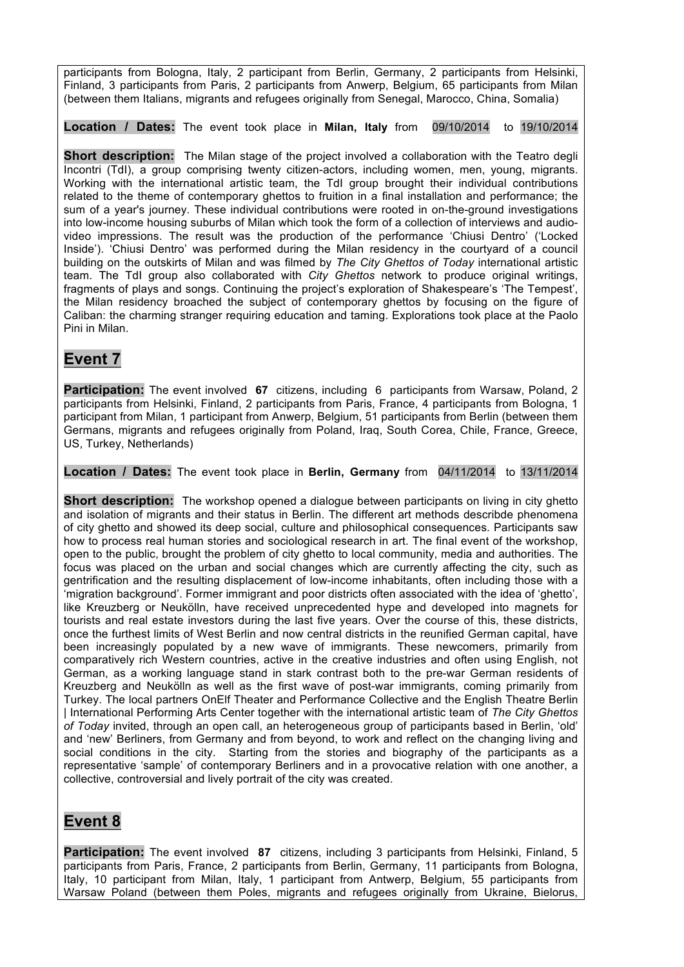participants from Bologna, Italy, 2 participant from Berlin, Germany, 2 participants from Helsinki, Finland, 3 participants from Paris, 2 participants from Anwerp, Belgium, 65 participants from Milan (between them Italians, migrants and refugees originally from Senegal, Marocco, China, Somalia)

**Location / Dates:** The event took place in **Milan, Italy** from 09/10/2014 to 19/10/2014

**Short description:** The Milan stage of the project involved a collaboration with the Teatro degli Incontri (TdI), a group comprising twenty citizen-actors, including women, men, young, migrants. Working with the international artistic team, the TdI group brought their individual contributions related to the theme of contemporary ghettos to fruition in a final installation and performance; the sum of a year's journey. These individual contributions were rooted in on-the-ground investigations into low-income housing suburbs of Milan which took the form of a collection of interviews and audiovideo impressions. The result was the production of the performance 'Chiusi Dentro' ('Locked Inside'). 'Chiusi Dentro' was performed during the Milan residency in the courtyard of a council building on the outskirts of Milan and was filmed by *The City Ghettos of Today* international artistic team. The TdI group also collaborated with *City Ghettos* network to produce original writings, fragments of plays and songs. Continuing the project's exploration of Shakespeare's 'The Tempest', the Milan residency broached the subject of contemporary ghettos by focusing on the figure of Caliban: the charming stranger requiring education and taming. Explorations took place at the Paolo Pini in Milan.

## **Event 7**

**Participation:** The event involved **67** citizens, including 6 participants from Warsaw, Poland, 2 participants from Helsinki, Finland, 2 participants from Paris, France, 4 participants from Bologna, 1 participant from Milan, 1 participant from Anwerp, Belgium, 51 participants from Berlin (between them Germans, migrants and refugees originally from Poland, Iraq, South Corea, Chile, France, Greece, US, Turkey, Netherlands)

**Location / Dates:** The event took place in **Berlin, Germany** from 04/11/2014 to 13/11/2014

**Short description:** The workshop opened a dialoque between participants on living in city ghetto and isolation of migrants and their status in Berlin. The different art methods describde phenomena of city ghetto and showed its deep social, culture and philosophical consequences. Participants saw how to process real human stories and sociological research in art. The final event of the workshop, open to the public, brought the problem of city ghetto to local community, media and authorities. The focus was placed on the urban and social changes which are currently affecting the city, such as gentrification and the resulting displacement of low-income inhabitants, often including those with a 'migration background'. Former immigrant and poor districts often associated with the idea of 'ghetto', like Kreuzberg or Neukölln, have received unprecedented hype and developed into magnets for tourists and real estate investors during the last five years. Over the course of this, these districts, once the furthest limits of West Berlin and now central districts in the reunified German capital, have been increasingly populated by a new wave of immigrants. These newcomers, primarily from comparatively rich Western countries, active in the creative industries and often using English, not German, as a working language stand in stark contrast both to the pre-war German residents of Kreuzberg and Neukölln as well as the first wave of post-war immigrants, coming primarily from Turkey. The local partners OnElf Theater and Performance Collective and the English Theatre Berlin | International Performing Arts Center together with the international artistic team of *The City Ghettos of Today* invited, through an open call, an heterogeneous group of participants based in Berlin, 'old' and 'new' Berliners, from Germany and from beyond, to work and reflect on the changing living and social conditions in the city. Starting from the stories and biography of the participants as a representative 'sample' of contemporary Berliners and in a provocative relation with one another, a collective, controversial and lively portrait of the city was created.

## **Event 8**

**Participation:** The event involved **87** citizens, including 3 participants from Helsinki, Finland, 5 participants from Paris, France, 2 participants from Berlin, Germany, 11 participants from Bologna, Italy, 10 participant from Milan, Italy, 1 participant from Antwerp, Belgium, 55 participants from Warsaw Poland (between them Poles, migrants and refugees originally from Ukraine, Bielorus,